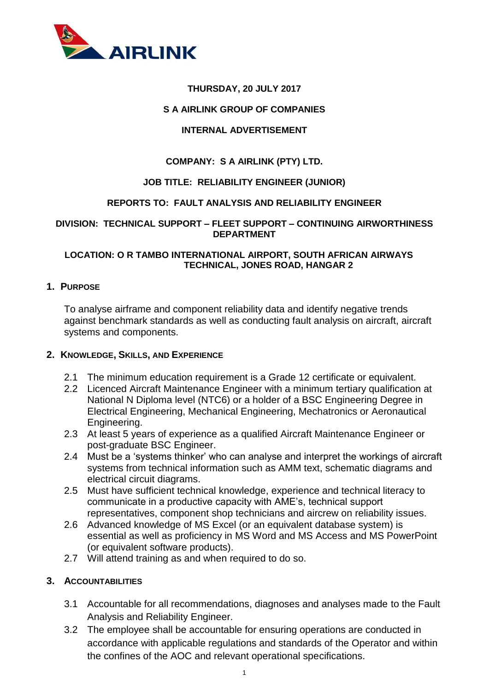

### **THURSDAY, 20 JULY 2017**

#### **S A AIRLINK GROUP OF COMPANIES**

### **INTERNAL ADVERTISEMENT**

### **COMPANY: S A AIRLINK (PTY) LTD.**

#### **JOB TITLE: RELIABILITY ENGINEER (JUNIOR)**

#### **REPORTS TO: FAULT ANALYSIS AND RELIABILITY ENGINEER**

#### **DIVISION: TECHNICAL SUPPORT – FLEET SUPPORT – CONTINUING AIRWORTHINESS DEPARTMENT**

#### **LOCATION: O R TAMBO INTERNATIONAL AIRPORT, SOUTH AFRICAN AIRWAYS TECHNICAL, JONES ROAD, HANGAR 2**

#### **1. PURPOSE**

To analyse airframe and component reliability data and identify negative trends against benchmark standards as well as conducting fault analysis on aircraft, aircraft systems and components.

#### **2. KNOWLEDGE, SKILLS, AND EXPERIENCE**

- 2.1 The minimum education requirement is a Grade 12 certificate or equivalent.
- 2.2 Licenced Aircraft Maintenance Engineer with a minimum tertiary qualification at National N Diploma level (NTC6) or a holder of a BSC Engineering Degree in Electrical Engineering, Mechanical Engineering, Mechatronics or Aeronautical Engineering.
- 2.3 At least 5 years of experience as a qualified Aircraft Maintenance Engineer or post-graduate BSC Engineer.
- 2.4 Must be a 'systems thinker' who can analyse and interpret the workings of aircraft systems from technical information such as AMM text, schematic diagrams and electrical circuit diagrams.
- 2.5 Must have sufficient technical knowledge, experience and technical literacy to communicate in a productive capacity with AME's, technical support representatives, component shop technicians and aircrew on reliability issues.
- 2.6 Advanced knowledge of MS Excel (or an equivalent database system) is essential as well as proficiency in MS Word and MS Access and MS PowerPoint (or equivalent software products).
- 2.7 Will attend training as and when required to do so.

#### **3. ACCOUNTABILITIES**

- 3.1 Accountable for all recommendations, diagnoses and analyses made to the Fault Analysis and Reliability Engineer.
- 3.2 The employee shall be accountable for ensuring operations are conducted in accordance with applicable regulations and standards of the Operator and within the confines of the AOC and relevant operational specifications.